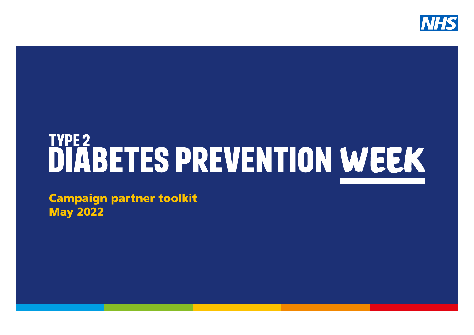

# **DIABETES PREVENTION WEEK**

Campaign partner toolkit May 2022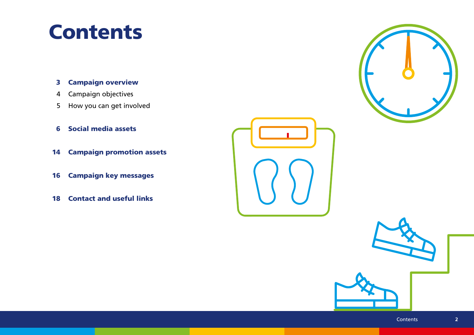#### **Contents**

- Campaign overview 3
- Campaign objectives 4
- How you can get involved 5
- Social media assets 6
- 14 Campaign promotion assets
- Campaign key messages 16
- 18 Contact and useful links



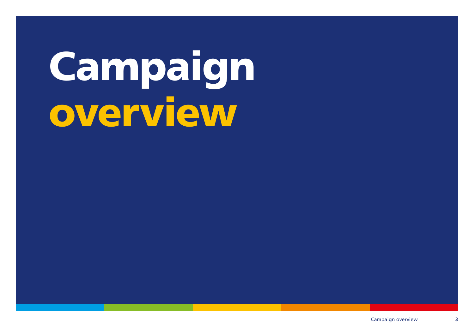## Campaign overview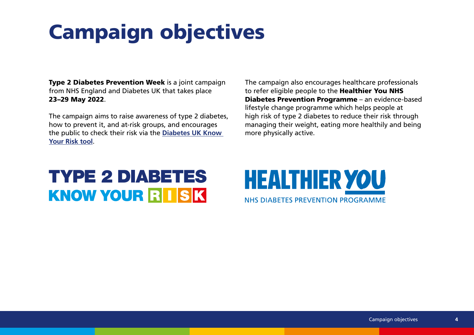### Campaign objectives

Type 2 Diabetes Prevention Week is a joint campaign from NHS England and Diabetes UK that takes place 23–29 May 2022.

The campaign aims to raise awareness of type 2 diabetes, how to prevent it, and at-risk groups, and encourages the public to check their risk via the **[Diabetes UK Know](https://riskscore.diabetes.org.uk/start)  [Your Risk tool](https://riskscore.diabetes.org.uk/start)**.

The campaign also encourages healthcare professionals to refer eligible people to the Healthier You NHS Diabetes Prevention Programme – an evidence-based lifestyle change programme which helps people at high risk of type 2 diabetes to reduce their risk through managing their weight, eating more healthily and being more physically active.

#### **TYPE 2 DIABETES KNOW YOUR RISK**

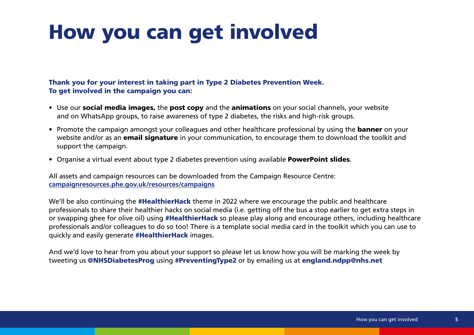#### How you can get involved

#### Thank you for your interest in taking part in Type 2 Diabetes Prevention Week. To get involved in the campaign you can:

- Use our **social media images,** the **post copy** and the **animations** on your social channels, your website and on WhatsApp groups, to raise awareness of type 2 diabetes, the risks and high-risk groups.
- Promote the campaign amongst your colleagues and other healthcare professional by using the **banner** on your website and/or as an **email signature** in your communication, to encourage them to download the toolkit and support the campaign.
- Organise a virtual event about type 2 diabetes prevention using available **PowerPoint slides**.

All assets and campaign resources can be downloaded from the Campaign Resource Centre: **[campaignresources.phe.gov.uk/resources/campaigns](https://campaignresources.phe.gov.uk/resources/campaigns)**

We'll be also continuing the **#HealthierHack** theme in 2022 where we encourage the public and healthcare professionals to share their healthier hacks on social media (i.e. getting off the bus a stop earlier to get extra steps in or swapping ghee for olive oil) using #HealthierHack so please play along and encourage others, including healthcare professionals and/or colleagues to do so too! There is a template social media card in the toolkit which you can use to quickly and easily generate #HealthierHack images.

And we'd love to hear from you about your support so please let us know how you will be marking the week by tweeting us [@NHSDiabetesProg](https://twitter.com/nhsdiabetesprog?lang=en) using #PreventingType2 or by emailing us at england.ndpp@nhs.net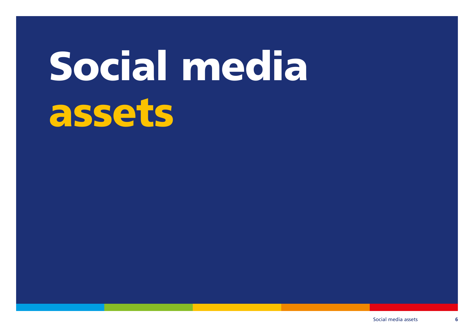# Social media assets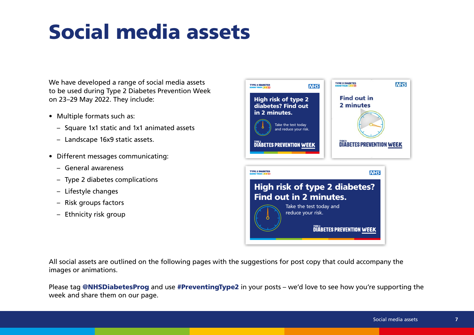## Social media assets

We have developed a range of social media assets to be used during Type 2 Diabetes Prevention Week on 23–29 May 2022. They include:

- Multiple formats such as:
	- Square 1x1 static and 1x1 animated assets
	- Landscape 16x9 static assets.
- Different messages communicating:
	- General awareness
	- Type 2 diabetes complications
	- Lifestyle changes
	- Risk groups factors
	- Ethnicity risk group



All social assets are outlined on the following pages with the suggestions for post copy that could accompany the images or animations.

Please tag [@NHSDiabetesProg](https://twitter.com/nhsdiabetesprog?lang=en) and use #PreventingType2 in your posts – we'd love to see how you're supporting the week and share them on our page.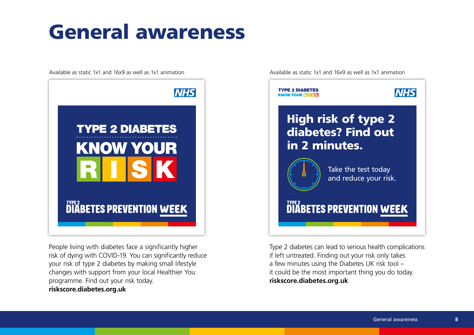#### General awareness

Available as static 1x1 and 16x9 as well as 1x1 animation Available as static 1x1 and 16x9 as well as 1x1 animation



People living with diabetes face a significantly higher risk of dying with COVID-19. You can significantly reduce your risk of type 2 diabetes by making small lifestyle changes with support from your local Healthier You programme. Find out your risk today. **riskscore.diabetes.org.uk**



Type 2 diabetes can lead to serious health complications if left untreated. Finding out your risk only takes a few minutes using the Diabetes UK risk tool – it could be the most important thing you do today. **riskscore.diabetes.org.uk**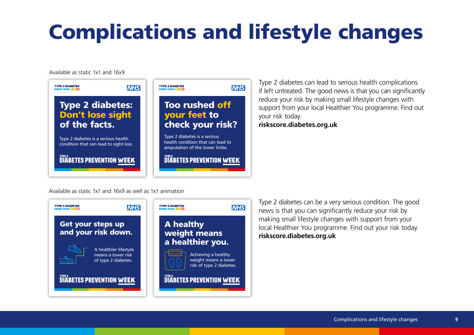## Complications and lifestyle changes

Available as static 1x1 and 16x9



Type 2 diabetes can lead to serious health complications if left untreated. The good news is that you can significantly reduce your risk by making small lifestyle changes with support from your local Healthier You programme. Find out your risk today. **riskscore.diabetes.org.uk**

Available as static 1x1 and 16x9 as well as 1x1 animation



Type 2 diabetes can be a very serious condition. The good news is that you can significantly reduce your risk by making small lifestyle changes with support from your local Healthier You programme. Find out your risk today. **riskscore.diabetes.org.uk**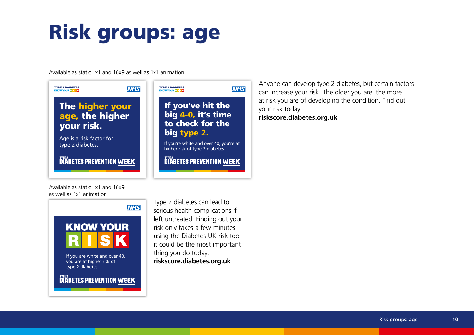## Risk groups: age

Available as static 1x1 and 16x9 as well as 1x1 animation



Anyone can develop type 2 diabetes, but certain factors can increase your risk. The older you are, the more at risk you are of developing the condition. Find out your risk today. **riskscore.diabetes.org.uk**





**DIABETES PREVENTION WEEK** 

Type 2 diabetes can lead to serious health complications if left untreated. Finding out your risk only takes a few minutes using the Diabetes UK risk tool – it could be the most important thing you do today. **riskscore.diabetes.org.uk**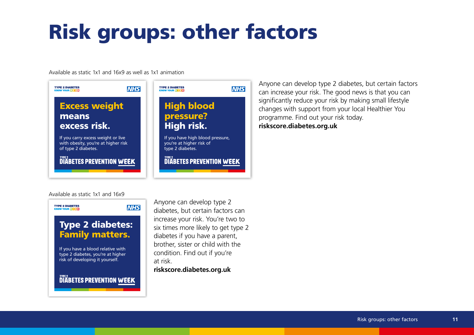## Risk groups: other factors

Available as static 1x1 and 16x9 as well as 1x1 animation



Anyone can develop type 2 diabetes, but certain factors can increase your risk. The good news is that you can significantly reduce your risk by making small lifestyle changes with support from your local Healthier You programme. Find out your risk today. **riskscore.diabetes.org.uk**

#### Available as static 1x1 and 16x9



Anyone can develop type 2 diabetes, but certain factors can increase your risk. You're two to six times more likely to get type 2 diabetes if you have a parent, brother, sister or child with the condition. Find out if you're at risk.

**riskscore.diabetes.org.uk**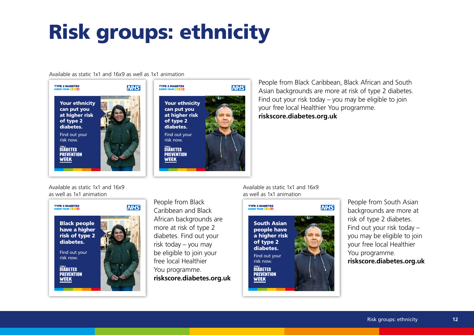## Risk groups: ethnicity

#### Available as static 1x1 and 16x9 as well as 1x1 animation



People from Black Caribbean, Black African and South Asian backgrounds are more at risk of type 2 diabetes. Find out your risk today – you may be eligible to join your free local Healthier You programme. **riskscore.diabetes.org.uk**

Available as static 1x1 and 16x9 as well as 1x1 animation



People from Black Caribbean and Black African backgrounds are more at risk of type 2 diabetes. Find out your risk today – you may be eligible to join your free local Healthier You programme. **riskscore.diabetes.org.uk** Available as static 1x1 and 16x9 as well as 1x1 animation



People from South Asian backgrounds are more at risk of type 2 diabetes. Find out your risk today – you may be eligible to join your free local Healthier You programme. **riskscore.diabetes.org.uk**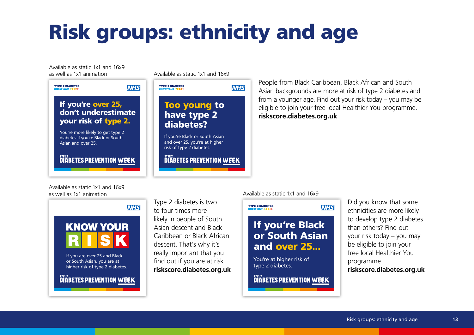## Risk groups: ethnicity and age

Available as static 1x1 and 16x9

Available as static 1x1 and 16x9 as well as 1x1 animation



People from Black Caribbean, Black African and South Asian backgrounds are more at risk of type 2 diabetes and from a younger age. Find out your risk today – you may be eligible to join your free local Healthier You programme. **riskscore.diabetes.org.uk**

Available as static 1x1 and 16x9 as well as 1x1 animation



Type 2 diabetes is two to four times more likely in people of South Asian descent and Black Caribbean or Black African descent. That's why it's really important that you find out if you are at risk. **riskscore.diabetes.org.uk** 

#### Available as static 1x1 and 16x9



Did you know that some ethnicities are more likely to develop type 2 diabetes than others? Find out your risk today – you may be eligible to join your free local Healthier You programme. **riskscore.diabetes.org.uk**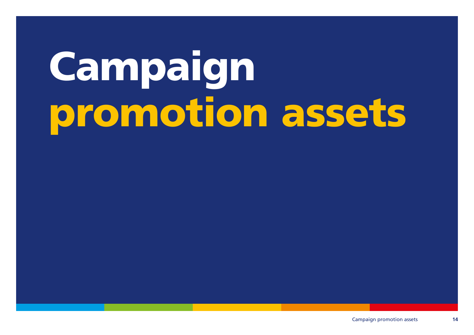# Campaign promotion assets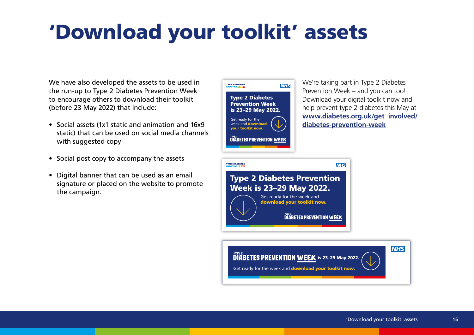#### 'Download your toolkit' assets

We have also developed the assets to be used in the run-up to Type 2 Diabetes Prevention Week to encourage others to download their toolkit (before 23 May 2022) that include:

- Social assets (1x1 static and animation and 16x9 static) that can be used on social media channels with suggested copy
- Social post copy to accompany the assets
- Digital banner that can be used as an email signature or placed on the website to promote the campaign.

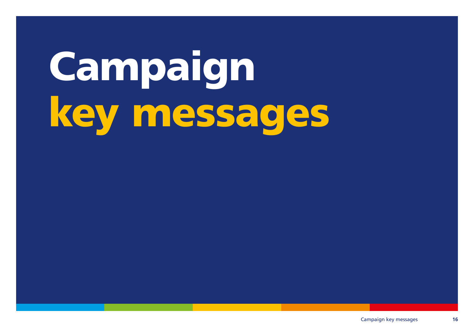# Campaign key messages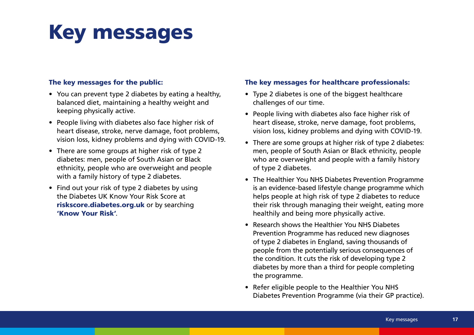#### Key messages

#### The key messages for the public:

- You can prevent type 2 diabetes by eating a healthy, balanced diet, maintaining a healthy weight and keeping physically active.
- People living with diabetes also face higher risk of heart disease, stroke, nerve damage, foot problems, vision loss, kidney problems and dying with COVID-19.
- There are some groups at higher risk of type 2 diabetes: men, people of South Asian or Black ethnicity, people who are overweight and people with a family history of type 2 diabetes.
- Find out your risk of type 2 diabetes by using the Diabetes UK Know Your Risk Score at [riskscore.diabetes.org.uk](https://riskscore.diabetes.org.uk/start) or by searching ['Know Your Risk'](https://www.google.com/search?q=Know+Your+Risk&rlz=1C5CHFA_enGB899GB899&sxsrf=ALeKk024zda9C1JF6d4B2KtOSO7ebcPQ6A%3A1618925159142&ei=Z9Z-YO6aCNWDhbIP37-awAc&oq=Know+Your+Risk&gs_lcp=Cgdnd3Mtd2l6EAMyBAgAEEMyBggAEAcQHjIGCAAQBxAeMgQIABBDMgYIABAHEB4yBggAEAcQHjIGCAAQBxAeMgYIABAHEB4yAggAMgIIADoHCAAQRxCwAzoECCMQJzoGCAAQFhAeUNLxA1jCjwRg6ZEEaAFwAngAgAGNAYgBogKSAQMyLjGYAQCgAQGqAQdnd3Mtd2l6yAEIwAEB&sclient=gws-wiz&ved=0ahUKEwiu6pyY9ozwAhXVQUEAHd-fBngQ4dUDCA8&uact=5).

#### The key messages for healthcare professionals:

- Type 2 diabetes is one of the biggest healthcare challenges of our time.
- People living with diabetes also face higher risk of heart disease, stroke, nerve damage, foot problems, vision loss, kidney problems and dying with COVID-19.
- There are some groups at higher risk of type 2 diabetes: men, people of South Asian or Black ethnicity, people who are overweight and people with a family history of type 2 diabetes.
- The Healthier You NHS Diabetes Prevention Programme is an evidence-based lifestyle change programme which helps people at high risk of type 2 diabetes to reduce their risk through managing their weight, eating more healthily and being more physically active.
- Research shows the Healthier You NHS Diabetes Prevention Programme has reduced new diagnoses of type 2 diabetes in England, saving thousands of people from the potentially serious consequences of the condition. It cuts the risk of developing type 2 diabetes by more than a third for people completing the programme.
- Refer eligible people to the Healthier You NHS Diabetes Prevention Programme (via their GP practice).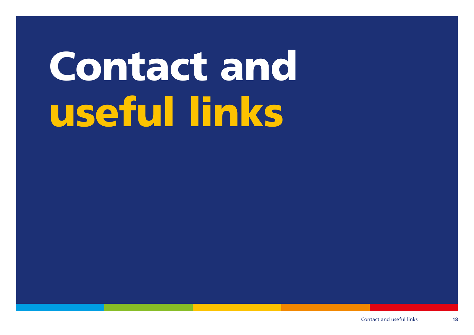# Contact and useful links